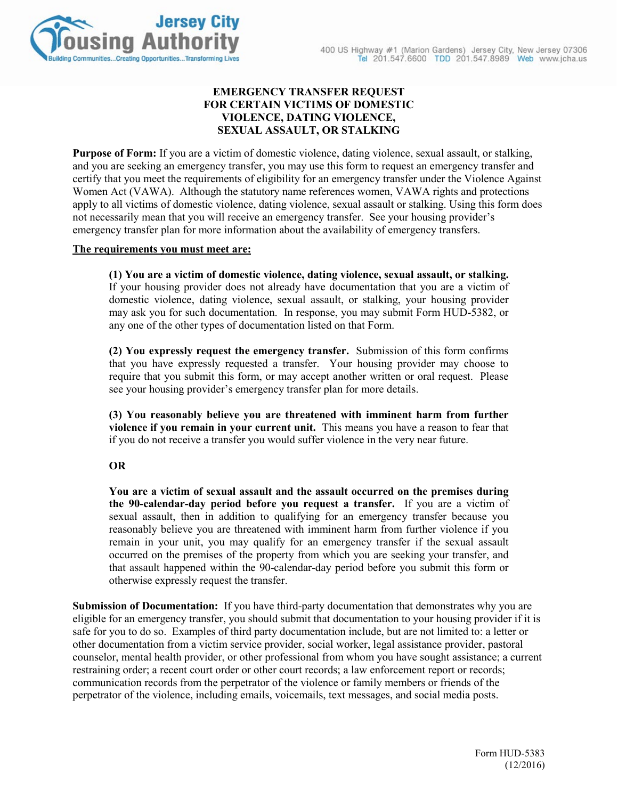

# **EMERGENCY TRANSFER REQUEST FOR CERTAIN VICTIMS OF DOMESTIC VIOLENCE, DATING VIOLENCE, SEXUAL ASSAULT, OR STALKING**

**Purpose of Form:** If you are a victim of domestic violence, dating violence, sexual assault, or stalking, and you are seeking an emergency transfer, you may use this form to request an emergency transfer and certify that you meet the requirements of eligibility for an emergency transfer under the Violence Against Women Act (VAWA). Although the statutory name references women, VAWA rights and protections apply to all victims of domestic violence, dating violence, sexual assault or stalking. Using this form does not necessarily mean that you will receive an emergency transfer. See your housing provider's emergency transfer plan for more information about the availability of emergency transfers.

#### **The requirements you must meet are:**

**(1) You are a victim of domestic violence, dating violence, sexual assault, or stalking.**  If your housing provider does not already have documentation that you are a victim of domestic violence, dating violence, sexual assault, or stalking, your housing provider may ask you for such documentation. In response, you may submit Form HUD-5382, or any one of the other types of documentation listed on that Form.

**(2) You expressly request the emergency transfer.** Submission of this form confirms that you have expressly requested a transfer. Your housing provider may choose to require that you submit this form, or may accept another written or oral request. Please see your housing provider's emergency transfer plan for more details.

**(3) You reasonably believe you are threatened with imminent harm from further violence if you remain in your current unit.** This means you have a reason to fear that if you do not receive a transfer you would suffer violence in the very near future.

### **OR**

**You are a victim of sexual assault and the assault occurred on the premises during the 90-calendar-day period before you request a transfer.** If you are a victim of sexual assault, then in addition to qualifying for an emergency transfer because you reasonably believe you are threatened with imminent harm from further violence if you remain in your unit, you may qualify for an emergency transfer if the sexual assault occurred on the premises of the property from which you are seeking your transfer, and that assault happened within the 90-calendar-day period before you submit this form or otherwise expressly request the transfer.

**Submission of Documentation:** If you have third-party documentation that demonstrates why you are eligible for an emergency transfer, you should submit that documentation to your housing provider if it is safe for you to do so. Examples of third party documentation include, but are not limited to: a letter or other documentation from a victim service provider, social worker, legal assistance provider, pastoral counselor, mental health provider, or other professional from whom you have sought assistance; a current restraining order; a recent court order or other court records; a law enforcement report or records; communication records from the perpetrator of the violence or family members or friends of the perpetrator of the violence, including emails, voicemails, text messages, and social media posts.